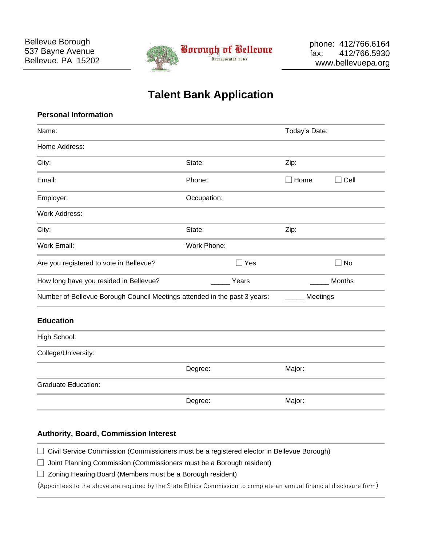

## **Talent Bank Application**

| <b>Personal Information</b>                                               |             |               |
|---------------------------------------------------------------------------|-------------|---------------|
| Name:                                                                     |             | Today's Date: |
| Home Address:                                                             |             |               |
| City:                                                                     | State:      | Zip:          |
| Email:                                                                    | Phone:      | Home<br>Cell  |
| Employer:                                                                 | Occupation: |               |
| <b>Work Address:</b>                                                      |             |               |
| City:                                                                     | State:      | Zip:          |
| Work Email:                                                               | Work Phone: |               |
| Are you registered to vote in Bellevue?                                   | Yes<br>П    | <b>No</b>     |
| How long have you resided in Bellevue?                                    | Years       | Months        |
| Number of Bellevue Borough Council Meetings attended in the past 3 years: |             | Meetings      |
| <b>Education</b>                                                          |             |               |
| High School:                                                              |             |               |
| College/University:                                                       |             |               |
|                                                                           | Degree:     | Major:        |
| <b>Graduate Education:</b>                                                |             |               |
|                                                                           | Degree:     | Major:        |
|                                                                           |             |               |

## **Authority, Board, Commission Interest**

□ Civil Service Commission (Commissioners must be a registered elector in Bellevue Borough)

□ Joint Planning Commission (Commissioners must be a Borough resident)

 $\Box$  Zoning Hearing Board (Members must be a Borough resident)

(Appointees to the above are required by the State Ethics Commission to complete an annual financial disclosure form)